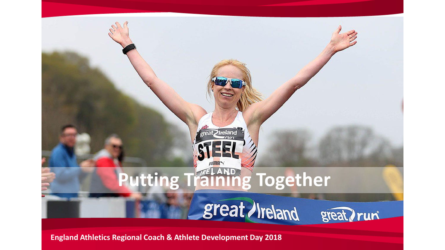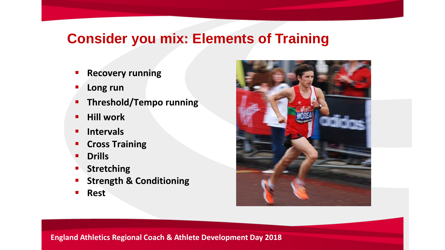## **Consider you mix: Elements of Training**

- **Recovery running**
- **Long run**
- **Fig. 1.5 Threshold/Tempo running**
- **Hill work**
- **Intervals**
- **Cross Training**
- **Drills**
- **Stretching**
- **Strength & Conditioning**
- **Rest**

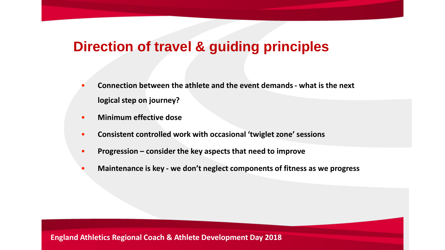- **Connection between the athlete and the event demands - what is the next logical step on journey?**
- **Minimum effective dose**
- **Consistent controlled work with occasional 'twiglet zone' sessions**
- **Progression – consider the key aspects that need to improve**
- **Maintenance is key - we don't neglect components of fitness as we progress**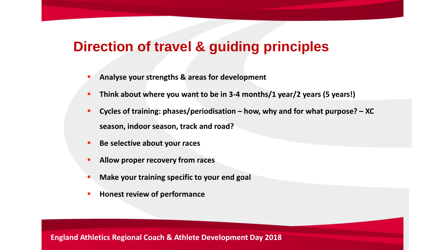- **Analyse your strengths & areas for development**
- **Think about where you want to be in 3-4 months/1 year/2 years (5 years!)**
- **Cycles of training: phases/periodisation – how, why and for what purpose? – XC season, indoor season, track and road?**
- **Be selective about your races**
- **Allow proper recovery from races**
- **Make your training specific to your end goal**
- **Honest review of performance**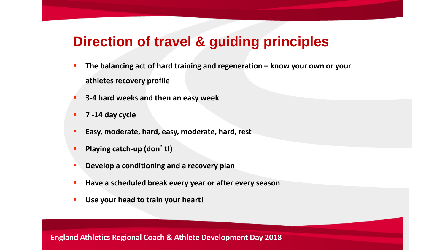- **The balancing act of hard training and regeneration know your own or your athletes recovery profile**
- **3-4 hard weeks and then an easy week**
- **7 -14 day cycle**
- **Easy, moderate, hard, easy, moderate, hard, rest**
- **Playing catch-up (don**'**t!)**
- **Develop a conditioning and a recovery plan**
- **Have a scheduled break every year or after every season**
- **Use your head to train your heart!**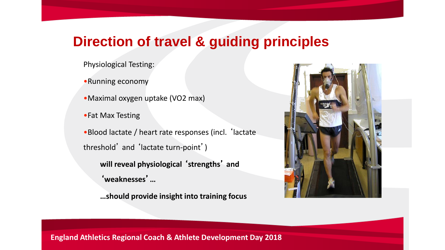Physiological Testing:

•Running economy

•Maximal oxygen uptake (VO2 max)

•Fat Max Testing

•Blood lactate / heart rate responses (incl. 'lactate threshold' and 'lactate turn-point')

**will reveal physiological** '**strengths**' **and**  '**weaknesses**'**…**

**…should provide insight into training focus**